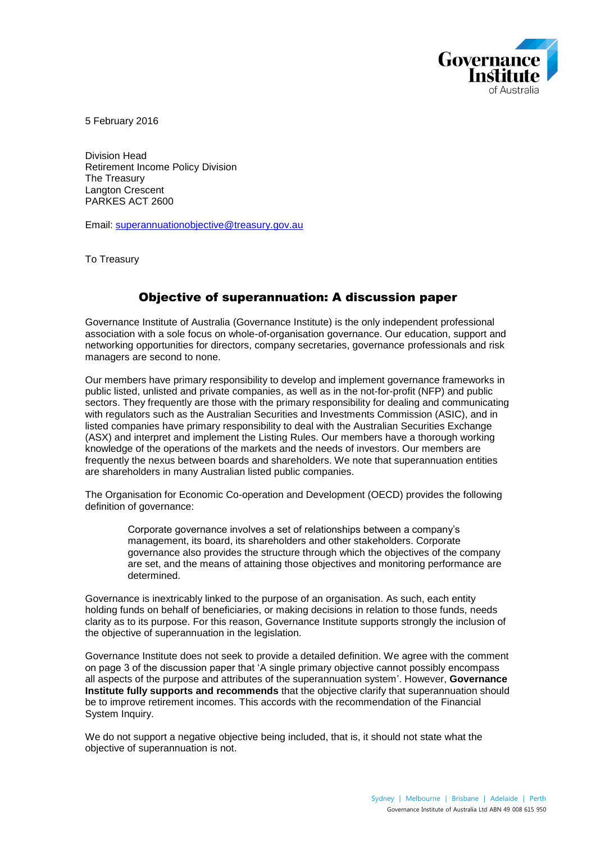

5 February 2016

Division Head Retirement Income Policy Division The Treasury Langton Crescent PARKES ACT 2600

Email: [superannuationobjective@treasury.gov.au](mailto:superannuationobjective@treasury.gov.au)

To Treasury

## Objective of superannuation: A discussion paper

Governance Institute of Australia (Governance Institute) is the only independent professional association with a sole focus on whole-of-organisation governance. Our education, support and networking opportunities for directors, company secretaries, governance professionals and risk managers are second to none.

Our members have primary responsibility to develop and implement governance frameworks in public listed, unlisted and private companies, as well as in the not-for-profit (NFP) and public sectors. They frequently are those with the primary responsibility for dealing and communicating with regulators such as the Australian Securities and Investments Commission (ASIC), and in listed companies have primary responsibility to deal with the Australian Securities Exchange (ASX) and interpret and implement the Listing Rules. Our members have a thorough working knowledge of the operations of the markets and the needs of investors. Our members are frequently the nexus between boards and shareholders. We note that superannuation entities are shareholders in many Australian listed public companies.

The Organisation for Economic Co-operation and Development (OECD) provides the following definition of governance:

Corporate governance involves a set of relationships between a company's management, its board, its shareholders and other stakeholders. Corporate governance also provides the structure through which the objectives of the company are set, and the means of attaining those objectives and monitoring performance are determined.

Governance is inextricably linked to the purpose of an organisation. As such, each entity holding funds on behalf of beneficiaries, or making decisions in relation to those funds, needs clarity as to its purpose. For this reason, Governance Institute supports strongly the inclusion of the objective of superannuation in the legislation.

Governance Institute does not seek to provide a detailed definition. We agree with the comment on page 3 of the discussion paper that 'A single primary objective cannot possibly encompass all aspects of the purpose and attributes of the superannuation system'. However, **Governance Institute fully supports and recommends** that the objective clarify that superannuation should be to improve retirement incomes. This accords with the recommendation of the Financial System Inquiry.

We do not support a negative objective being included, that is, it should not state what the objective of superannuation is not.